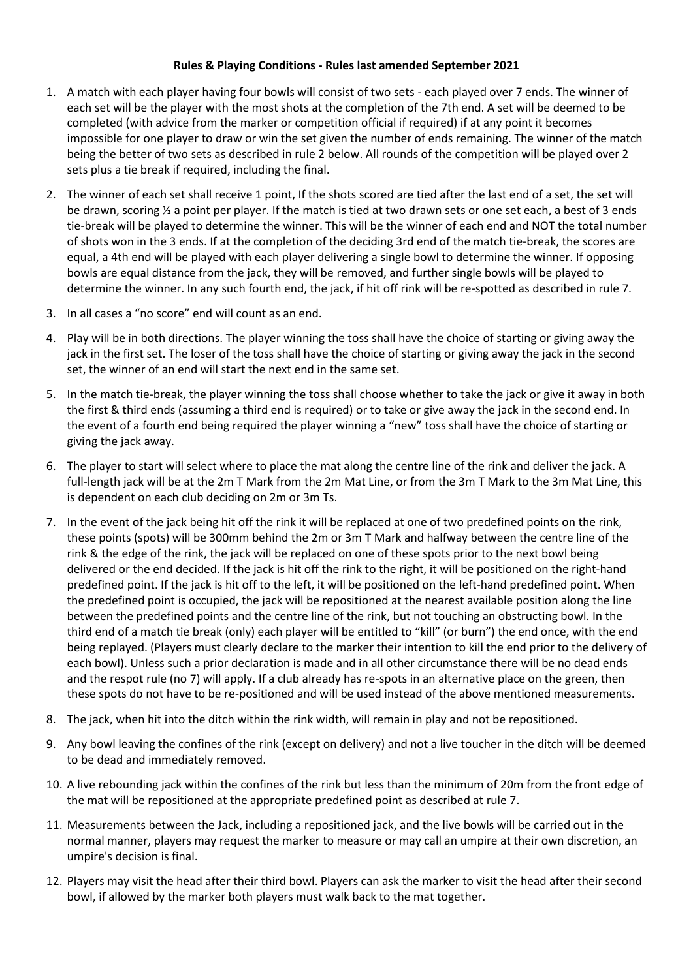## **Rules & Playing Conditions - Rules last amended September 2021**

- 1. A match with each player having four bowls will consist of two sets each played over 7 ends. The winner of each set will be the player with the most shots at the completion of the 7th end. A set will be deemed to be completed (with advice from the marker or competition official if required) if at any point it becomes impossible for one player to draw or win the set given the number of ends remaining. The winner of the match being the better of two sets as described in rule 2 below. All rounds of the competition will be played over 2 sets plus a tie break if required, including the final.
- 2. The winner of each set shall receive 1 point, If the shots scored are tied after the last end of a set, the set will be drawn, scoring ½ a point per player. If the match is tied at two drawn sets or one set each, a best of 3 ends tie-break will be played to determine the winner. This will be the winner of each end and NOT the total number of shots won in the 3 ends. If at the completion of the deciding 3rd end of the match tie-break, the scores are equal, a 4th end will be played with each player delivering a single bowl to determine the winner. If opposing bowls are equal distance from the jack, they will be removed, and further single bowls will be played to determine the winner. In any such fourth end, the jack, if hit off rink will be re-spotted as described in rule 7.
- 3. In all cases a "no score" end will count as an end.
- 4. Play will be in both directions. The player winning the toss shall have the choice of starting or giving away the jack in the first set. The loser of the toss shall have the choice of starting or giving away the jack in the second set, the winner of an end will start the next end in the same set.
- 5. In the match tie-break, the player winning the toss shall choose whether to take the jack or give it away in both the first & third ends (assuming a third end is required) or to take or give away the jack in the second end. In the event of a fourth end being required the player winning a "new" toss shall have the choice of starting or giving the jack away.
- 6. The player to start will select where to place the mat along the centre line of the rink and deliver the jack. A full-length jack will be at the 2m T Mark from the 2m Mat Line, or from the 3m T Mark to the 3m Mat Line, this is dependent on each club deciding on 2m or 3m Ts.
- 7. In the event of the jack being hit off the rink it will be replaced at one of two predefined points on the rink, these points (spots) will be 300mm behind the 2m or 3m T Mark and halfway between the centre line of the rink & the edge of the rink, the jack will be replaced on one of these spots prior to the next bowl being delivered or the end decided. If the jack is hit off the rink to the right, it will be positioned on the right-hand predefined point. If the jack is hit off to the left, it will be positioned on the left-hand predefined point. When the predefined point is occupied, the jack will be repositioned at the nearest available position along the line between the predefined points and the centre line of the rink, but not touching an obstructing bowl. In the third end of a match tie break (only) each player will be entitled to "kill" (or burn") the end once, with the end being replayed. (Players must clearly declare to the marker their intention to kill the end prior to the delivery of each bowl). Unless such a prior declaration is made and in all other circumstance there will be no dead ends and the respot rule (no 7) will apply. If a club already has re-spots in an alternative place on the green, then these spots do not have to be re-positioned and will be used instead of the above mentioned measurements.
- 8. The jack, when hit into the ditch within the rink width, will remain in play and not be repositioned.
- 9. Any bowl leaving the confines of the rink (except on delivery) and not a live toucher in the ditch will be deemed to be dead and immediately removed.
- 10. A live rebounding jack within the confines of the rink but less than the minimum of 20m from the front edge of the mat will be repositioned at the appropriate predefined point as described at rule 7.
- 11. Measurements between the Jack, including a repositioned jack, and the live bowls will be carried out in the normal manner, players may request the marker to measure or may call an umpire at their own discretion, an umpire's decision is final.
- 12. Players may visit the head after their third bowl. Players can ask the marker to visit the head after their second bowl, if allowed by the marker both players must walk back to the mat together.